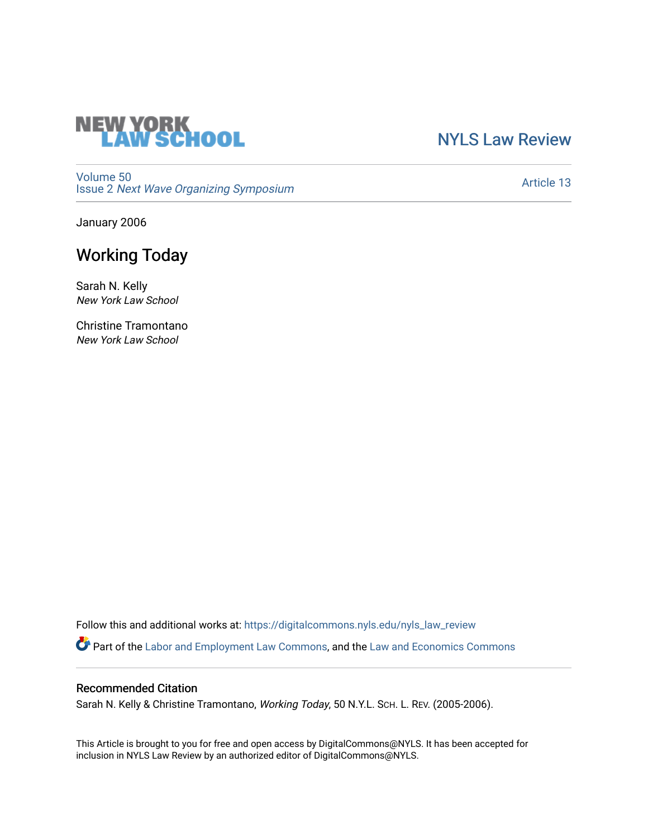# **NEW YORK<br>LAW SCHOOL**

[NYLS Law Review](https://digitalcommons.nyls.edu/nyls_law_review) 

[Volume 50](https://digitalcommons.nyls.edu/nyls_law_review/vol50) Issue 2 [Next Wave Organizing Symposium](https://digitalcommons.nyls.edu/nyls_law_review/vol50/iss2) 

[Article 13](https://digitalcommons.nyls.edu/nyls_law_review/vol50/iss2/13) 

January 2006

# Working Today

Sarah N. Kelly New York Law School

Christine Tramontano New York Law School

Follow this and additional works at: [https://digitalcommons.nyls.edu/nyls\\_law\\_review](https://digitalcommons.nyls.edu/nyls_law_review?utm_source=digitalcommons.nyls.edu%2Fnyls_law_review%2Fvol50%2Fiss2%2F13&utm_medium=PDF&utm_campaign=PDFCoverPages) 

Part of the [Labor and Employment Law Commons](https://network.bepress.com/hgg/discipline/909?utm_source=digitalcommons.nyls.edu%2Fnyls_law_review%2Fvol50%2Fiss2%2F13&utm_medium=PDF&utm_campaign=PDFCoverPages), and the [Law and Economics Commons](https://network.bepress.com/hgg/discipline/612?utm_source=digitalcommons.nyls.edu%2Fnyls_law_review%2Fvol50%2Fiss2%2F13&utm_medium=PDF&utm_campaign=PDFCoverPages)

## Recommended Citation

Sarah N. Kelly & Christine Tramontano, Working Today, 50 N.Y.L. SCH. L. REV. (2005-2006).

This Article is brought to you for free and open access by DigitalCommons@NYLS. It has been accepted for inclusion in NYLS Law Review by an authorized editor of DigitalCommons@NYLS.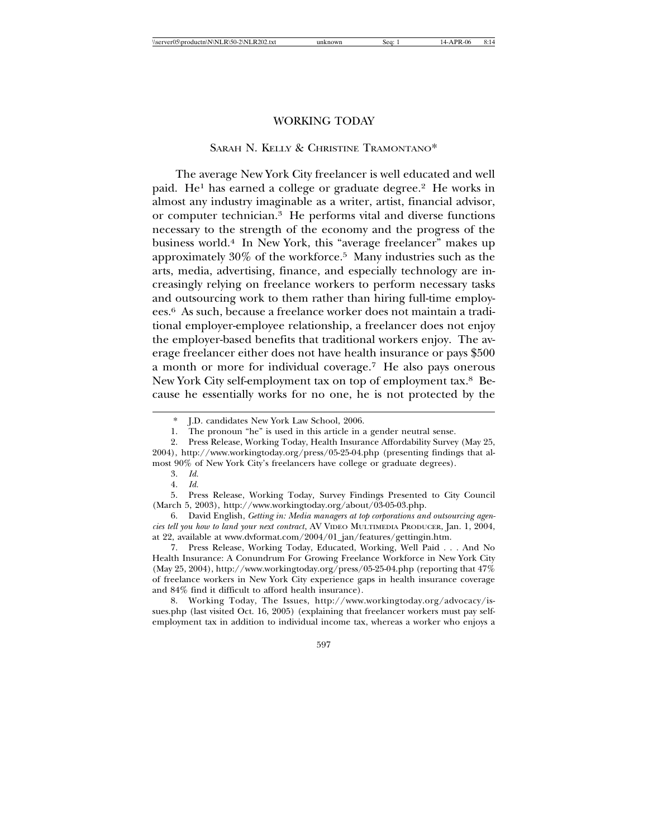### WORKING TODAY

### SARAH N. KELLY & CHRISTINE TRAMONTANO\*

The average New York City freelancer is well educated and well paid. He<sup>1</sup> has earned a college or graduate degree.<sup>2</sup> He works in almost any industry imaginable as a writer, artist, financial advisor, or computer technician.3 He performs vital and diverse functions necessary to the strength of the economy and the progress of the business world.4 In New York, this "average freelancer" makes up approximately 30% of the workforce.5 Many industries such as the arts, media, advertising, finance, and especially technology are increasingly relying on freelance workers to perform necessary tasks and outsourcing work to them rather than hiring full-time employees.6 As such, because a freelance worker does not maintain a traditional employer-employee relationship, a freelancer does not enjoy the employer-based benefits that traditional workers enjoy. The average freelancer either does not have health insurance or pays \$500 a month or more for individual coverage.7 He also pays onerous New York City self-employment tax on top of employment tax.8 Because he essentially works for no one, he is not protected by the

J.D. candidates New York Law School, 2006.

<sup>1.</sup> The pronoun "he" is used in this article in a gender neutral sense.

<sup>2.</sup> Press Release, Working Today, Health Insurance Affordability Survey (May 25, 2004), http://www.workingtoday.org/press/05-25-04.php (presenting findings that almost 90% of New York City's freelancers have college or graduate degrees).

<sup>3.</sup> *Id.* 

<sup>4.</sup> *Id.* 

<sup>5.</sup> Press Release, Working Today*,* Survey Findings Presented to City Council (March 5, 2003), http://www.workingtoday.org/about/03-05-03.php.

<sup>6.</sup> David English, *Getting in: Media managers at top corporations and outsourcing agencies tell you how to land your next contract*, AV VIDEO MULTIMEDIA PRODUCER, Jan. 1, 2004, at 22, available at www.dvformat.com/2004/01\_jan/features/gettingin.htm.

<sup>7.</sup> Press Release, Working Today, Educated, Working, Well Paid . . . And No Health Insurance: A Conundrum For Growing Freelance Workforce in New York City (May 25, 2004), http://www.workingtoday.org/press/05-25-04.php (reporting that 47% of freelance workers in New York City experience gaps in health insurance coverage and 84% find it difficult to afford health insurance).

<sup>8.</sup> Working Today, The Issues, http://www.workingtoday.org/advocacy/issues.php (last visited Oct. 16, 2005) (explaining that freelancer workers must pay selfemployment tax in addition to individual income tax, whereas a worker who enjoys a

<sup>597</sup>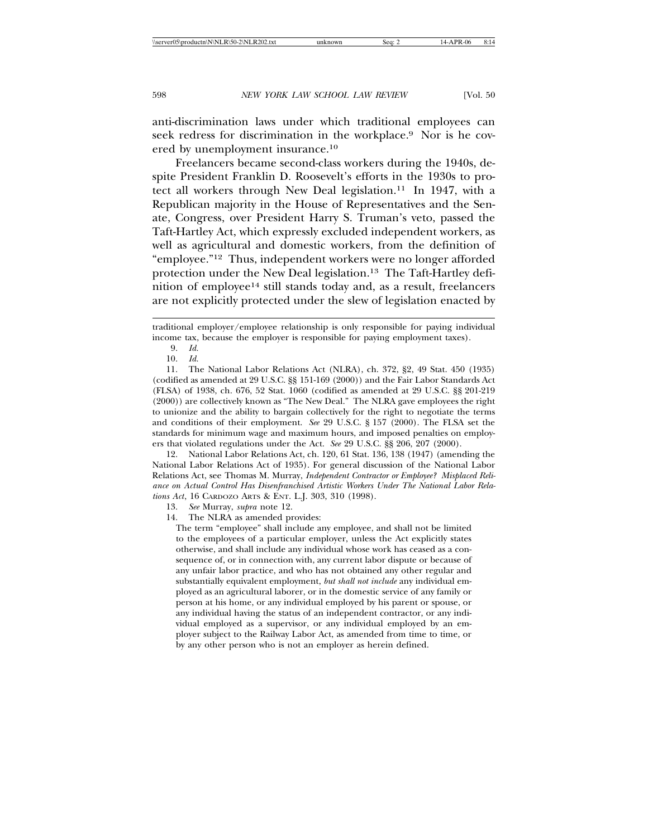anti-discrimination laws under which traditional employees can seek redress for discrimination in the workplace.9 Nor is he covered by unemployment insurance.10

Freelancers became second-class workers during the 1940s, despite President Franklin D. Roosevelt's efforts in the 1930s to protect all workers through New Deal legislation.11 In 1947, with a Republican majority in the House of Representatives and the Senate, Congress, over President Harry S. Truman's veto, passed the Taft-Hartley Act, which expressly excluded independent workers, as well as agricultural and domestic workers, from the definition of "employee."12 Thus, independent workers were no longer afforded protection under the New Deal legislation.13 The Taft-Hartley definition of employee<sup>14</sup> still stands today and, as a result, freelancers are not explicitly protected under the slew of legislation enacted by

11. The National Labor Relations Act (NLRA), ch. 372, §2, 49 Stat. 450 (1935) (codified as amended at 29 U.S.C. §§ 151-169 (2000)) and the Fair Labor Standards Act (FLSA) of 1938, ch. 676, 52 Stat. 1060 (codified as amended at 29 U.S.C. §§ 201-219 (2000)) are collectively known as "The New Deal." The NLRA gave employees the right to unionize and the ability to bargain collectively for the right to negotiate the terms and conditions of their employment. *See* 29 U.S.C. § 157 (2000). The FLSA set the standards for minimum wage and maximum hours, and imposed penalties on employers that violated regulations under the Act. *See* 29 U.S.C. §§ 206, 207 (2000).

12. National Labor Relations Act, ch. 120, 61 Stat. 136, 138 (1947) (amending the National Labor Relations Act of 1935). For general discussion of the National Labor Relations Act, see Thomas M. Murray, *Independent Contractor or Employee? Misplaced Reliance on Actual Control Has Disenfranchised Artistic Workers Under The National Labor Relations Act*, 16 CARDOZO ARTS & ENT. L.J. 303, 310 (1998).

The term "employee" shall include any employee, and shall not be limited to the employees of a particular employer, unless the Act explicitly states otherwise, and shall include any individual whose work has ceased as a consequence of, or in connection with, any current labor dispute or because of any unfair labor practice, and who has not obtained any other regular and substantially equivalent employment, *but shall not include* any individual employed as an agricultural laborer, or in the domestic service of any family or person at his home, or any individual employed by his parent or spouse, or any individual having the status of an independent contractor, or any individual employed as a supervisor, or any individual employed by an employer subject to the Railway Labor Act, as amended from time to time, or by any other person who is not an employer as herein defined.

traditional employer/employee relationship is only responsible for paying individual income tax, because the employer is responsible for paying employment taxes).

<sup>9.</sup> *Id.*

<sup>10.</sup> *Id.*

<sup>13.</sup> *See* Murray, *supra* note 12.

<sup>14.</sup> The NLRA as amended provides: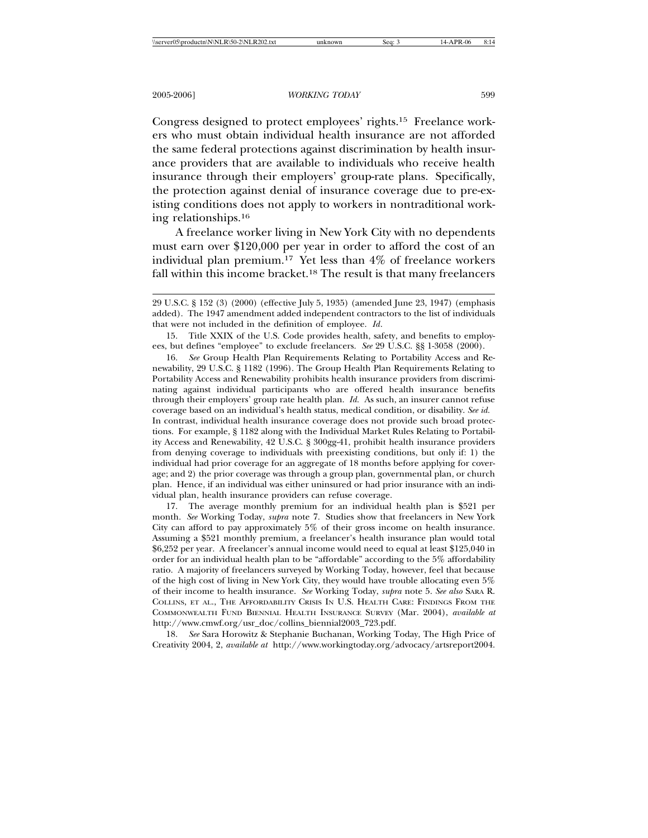Congress designed to protect employees' rights.15 Freelance workers who must obtain individual health insurance are not afforded the same federal protections against discrimination by health insurance providers that are available to individuals who receive health insurance through their employers' group-rate plans. Specifically, the protection against denial of insurance coverage due to pre-existing conditions does not apply to workers in nontraditional working relationships.16

A freelance worker living in New York City with no dependents must earn over \$120,000 per year in order to afford the cost of an individual plan premium.17 Yet less than 4% of freelance workers fall within this income bracket.18 The result is that many freelancers

15. Title XXIX of the U.S. Code provides health, safety, and benefits to employees, but defines "employee" to exclude freelancers. *See* 29 U.S.C. §§ 1-3058 (2000).

16. *See* Group Health Plan Requirements Relating to Portability Access and Renewability, 29 U.S.C. § 1182 (1996). The Group Health Plan Requirements Relating to Portability Access and Renewability prohibits health insurance providers from discriminating against individual participants who are offered health insurance benefits through their employers' group rate health plan. *Id.* As such, an insurer cannot refuse coverage based on an individual's health status, medical condition, or disability. *See id.* In contrast, individual health insurance coverage does not provide such broad protections. For example, § 1182 along with the Individual Market Rules Relating to Portability Access and Renewability, 42 U.S.C. § 300gg-41, prohibit health insurance providers from denying coverage to individuals with preexisting conditions, but only if: 1) the individual had prior coverage for an aggregate of 18 months before applying for coverage; and 2) the prior coverage was through a group plan, governmental plan, or church plan. Hence, if an individual was either uninsured or had prior insurance with an individual plan, health insurance providers can refuse coverage.

17. The average monthly premium for an individual health plan is \$521 per month. *See* Working Today, *supra* note 7. Studies show that freelancers in New York City can afford to pay approximately 5% of their gross income on health insurance. Assuming a \$521 monthly premium, a freelancer's health insurance plan would total \$6,252 per year. A freelancer's annual income would need to equal at least \$125,040 in order for an individual health plan to be "affordable" according to the 5% affordability ratio. A majority of freelancers surveyed by Working Today, however, feel that because of the high cost of living in New York City, they would have trouble allocating even 5% of their income to health insurance. *See* Working Today, *supra* note 5. *See also* SARA R. COLLINS, ET AL., THE AFFORDABILITY CRISIS IN U.S. HEALTH CARE: FINDINGS FROM THE COMMONWEALTH FUND BIENNIAL HEALTH INSURANCE SURVEY (Mar. 2004), *available at* http://www.cmwf.org/usr\_doc/collins\_biennial2003\_723.pdf.

18. *See* Sara Horowitz & Stephanie Buchanan, Working Today, The High Price of Creativity 2004, 2, *available at* http://www.workingtoday.org/advocacy/artsreport2004.

<sup>29</sup> U.S.C. § 152 (3) (2000) (effective July 5, 1935) (amended June 23, 1947) (emphasis added). The 1947 amendment added independent contractors to the list of individuals that were not included in the definition of employee. *Id*.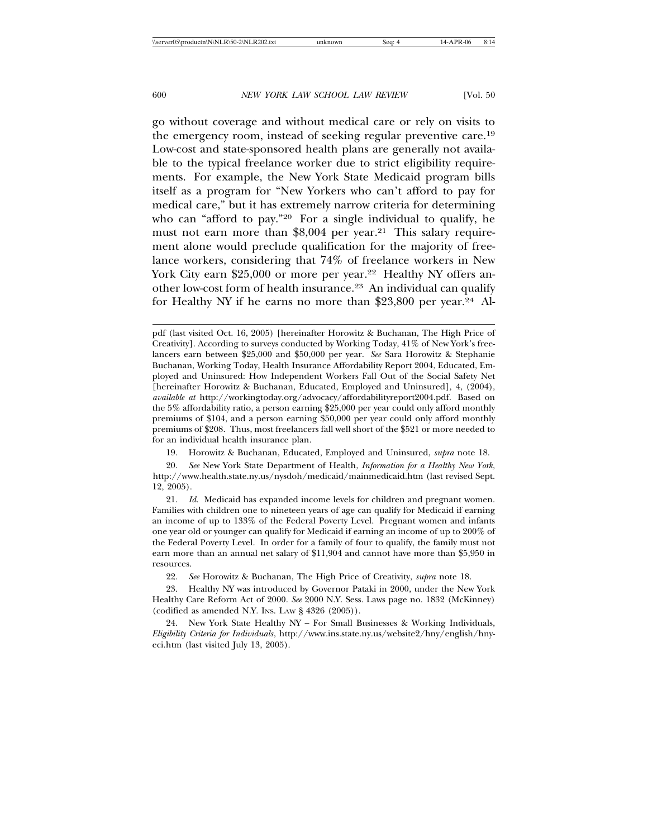go without coverage and without medical care or rely on visits to the emergency room, instead of seeking regular preventive care.19 Low-cost and state-sponsored health plans are generally not available to the typical freelance worker due to strict eligibility requirements. For example, the New York State Medicaid program bills itself as a program for "New Yorkers who can't afford to pay for medical care," but it has extremely narrow criteria for determining who can "afford to pay."<sup>20</sup> For a single individual to qualify, he must not earn more than \$8,004 per year.<sup>21</sup> This salary requirement alone would preclude qualification for the majority of freelance workers, considering that 74% of freelance workers in New York City earn \$25,000 or more per year.<sup>22</sup> Healthy NY offers another low-cost form of health insurance.23 An individual can qualify for Healthy NY if he earns no more than \$23,800 per year.<sup>24</sup> Al-

19. Horowitz & Buchanan, Educated, Employed and Uninsured, *supra* note 18.

pdf (last visited Oct. 16, 2005) [hereinafter Horowitz & Buchanan, The High Price of Creativity]. According to surveys conducted by Working Today, 41% of New York's freelancers earn between \$25,000 and \$50,000 per year. *See* Sara Horowitz & Stephanie Buchanan, Working Today, Health Insurance Affordability Report 2004, Educated, Employed and Uninsured: How Independent Workers Fall Out of the Social Safety Net [hereinafter Horowitz & Buchanan, Educated, Employed and Uninsured]*,* 4, (2004), *available at* http://workingtoday.org/advocacy/affordabilityreport2004.pdf. Based on the 5% affordability ratio, a person earning \$25,000 per year could only afford monthly premiums of \$104, and a person earning \$50,000 per year could only afford monthly premiums of \$208. Thus, most freelancers fall well short of the \$521 or more needed to for an individual health insurance plan.

<sup>20.</sup> *See* New York State Department of Health, *Information for a Healthy New York,* http://www.health.state.ny.us/nysdoh/medicaid/mainmedicaid.htm (last revised Sept. 12, 2005).

<sup>21.</sup> *Id.* Medicaid has expanded income levels for children and pregnant women. Families with children one to nineteen years of age can qualify for Medicaid if earning an income of up to 133% of the Federal Poverty Level. Pregnant women and infants one year old or younger can qualify for Medicaid if earning an income of up to 200% of the Federal Poverty Level. In order for a family of four to qualify, the family must not earn more than an annual net salary of \$11,904 and cannot have more than \$5,950 in resources.

<sup>22.</sup> *See* Horowitz & Buchanan, The High Price of Creativity, *supra* note 18.

<sup>23.</sup> Healthy NY was introduced by Governor Pataki in 2000, under the New York Healthy Care Reform Act of 2000. *See* 2000 N.Y. Sess. Laws page no. 1832 (McKinney) (codified as amended N.Y. Ins. Law  $\S 4326 (2005)$ ).

<sup>24.</sup> New York State Healthy NY – For Small Businesses & Working Individuals, *Eligibility Criteria for Individuals*, http://www.ins.state.ny.us/website2/hny/english/hnyeci.htm (last visited July 13, 2005).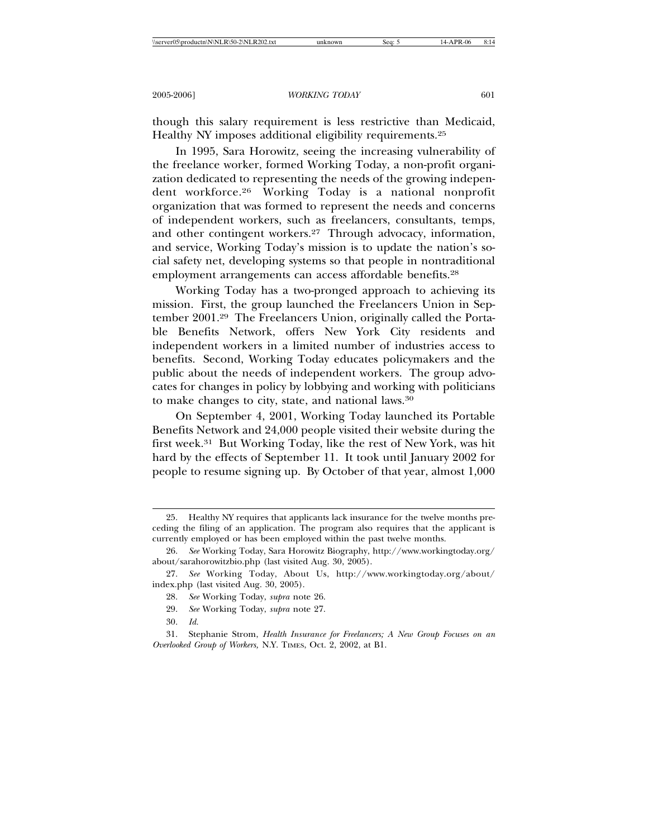though this salary requirement is less restrictive than Medicaid, Healthy NY imposes additional eligibility requirements.25

In 1995, Sara Horowitz, seeing the increasing vulnerability of the freelance worker, formed Working Today, a non-profit organization dedicated to representing the needs of the growing independent workforce.26 Working Today is a national nonprofit organization that was formed to represent the needs and concerns of independent workers, such as freelancers, consultants, temps, and other contingent workers.27 Through advocacy, information, and service, Working Today's mission is to update the nation's social safety net, developing systems so that people in nontraditional employment arrangements can access affordable benefits.<sup>28</sup>

Working Today has a two-pronged approach to achieving its mission. First, the group launched the Freelancers Union in September 2001.29 The Freelancers Union, originally called the Portable Benefits Network, offers New York City residents and independent workers in a limited number of industries access to benefits. Second, Working Today educates policymakers and the public about the needs of independent workers. The group advocates for changes in policy by lobbying and working with politicians to make changes to city, state, and national laws.30

On September 4, 2001, Working Today launched its Portable Benefits Network and 24,000 people visited their website during the first week.31 But Working Today, like the rest of New York, was hit hard by the effects of September 11. It took until January 2002 for people to resume signing up. By October of that year, almost 1,000

30. *Id.*

<sup>25.</sup> Healthy NY requires that applicants lack insurance for the twelve months preceding the filing of an application. The program also requires that the applicant is currently employed or has been employed within the past twelve months.

<sup>26.</sup> *See* Working Today, Sara Horowitz Biography, http://www.workingtoday.org/ about/sarahorowitzbio.php (last visited Aug. 30, 2005).

<sup>27.</sup> *See* Working Today, About Us, http://www.workingtoday.org/about/ index.php (last visited Aug. 30, 2005).

<sup>28.</sup> *See* Working Today, *supra* note 26.

<sup>29.</sup> *See* Working Today, *supra* note 27.

<sup>31.</sup> Stephanie Strom, *Health Insurance for Freelancers; A New Group Focuses on an Overlooked Group of Workers,* N.Y. TIMES, Oct. 2, 2002, at B1.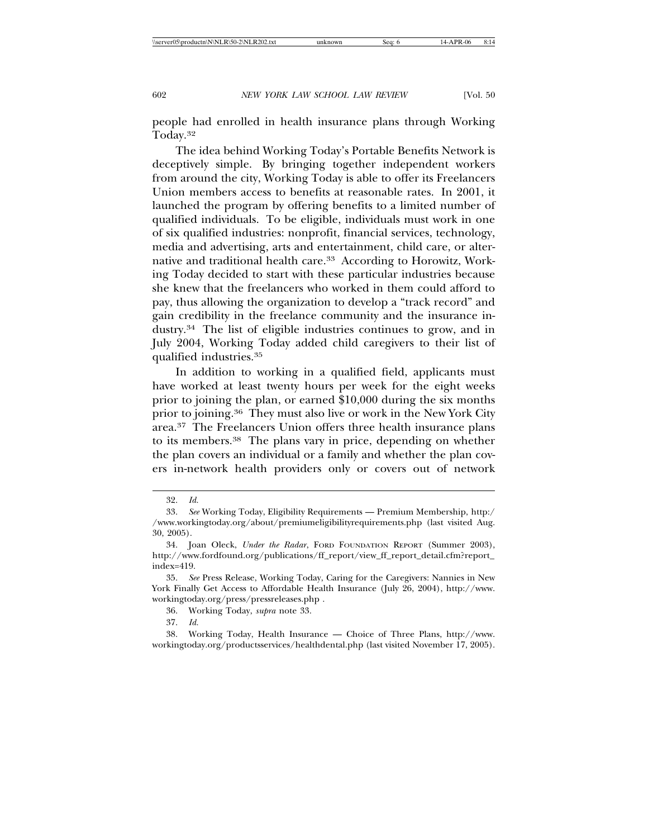people had enrolled in health insurance plans through Working Today.32

The idea behind Working Today's Portable Benefits Network is deceptively simple. By bringing together independent workers from around the city, Working Today is able to offer its Freelancers Union members access to benefits at reasonable rates. In 2001, it launched the program by offering benefits to a limited number of qualified individuals. To be eligible, individuals must work in one of six qualified industries: nonprofit, financial services, technology, media and advertising, arts and entertainment, child care, or alternative and traditional health care.<sup>33</sup> According to Horowitz, Working Today decided to start with these particular industries because she knew that the freelancers who worked in them could afford to pay, thus allowing the organization to develop a "track record" and gain credibility in the freelance community and the insurance industry.34 The list of eligible industries continues to grow, and in July 2004, Working Today added child caregivers to their list of qualified industries.35

In addition to working in a qualified field, applicants must have worked at least twenty hours per week for the eight weeks prior to joining the plan, or earned \$10,000 during the six months prior to joining.36 They must also live or work in the New York City area.37 The Freelancers Union offers three health insurance plans to its members.38 The plans vary in price, depending on whether the plan covers an individual or a family and whether the plan covers in-network health providers only or covers out of network

37. *Id.*

38. Working Today, Health Insurance — Choice of Three Plans, http://www. workingtoday.org/productsservices/healthdental.php (last visited November 17, 2005).

<sup>32.</sup> *Id.*

<sup>33.</sup> *See* Working Today, Eligibility Requirements — Premium Membership, http:/ /www.workingtoday.org/about/premiumeligibilityrequirements.php (last visited Aug. 30, 2005).

<sup>34.</sup> Joan Oleck, *Under the Radar*, FORD FOUNDATION REPORT (Summer 2003), http://www.fordfound.org/publications/ff\_report/view\_ff\_report\_detail.cfm?report\_ index=419.

<sup>35.</sup> *See* Press Release, Working Today, Caring for the Caregivers: Nannies in New York Finally Get Access to Affordable Health Insurance (July 26, 2004), http://www. workingtoday.org/press/pressreleases.php .

<sup>36.</sup> Working Today, *supra* note 33.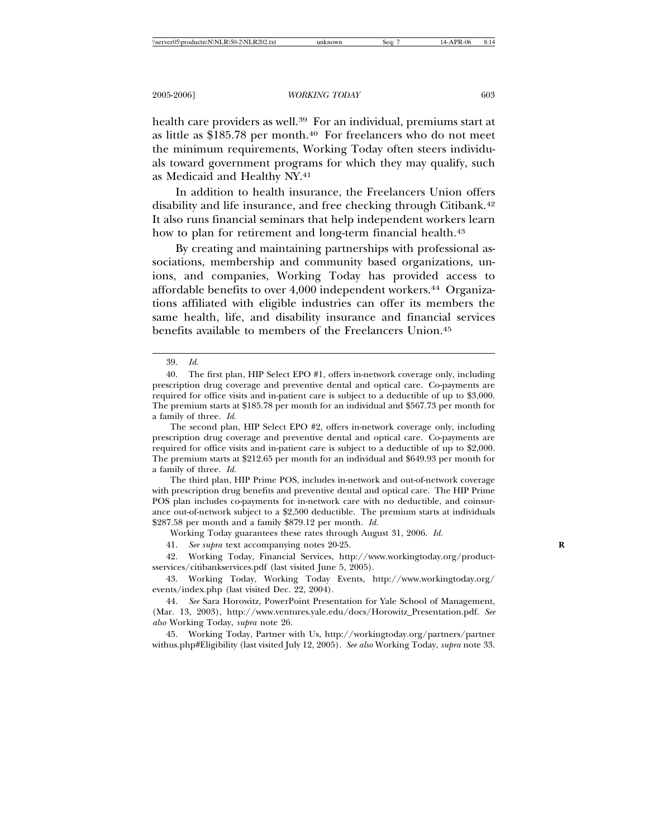health care providers as well.<sup>39</sup> For an individual, premiums start at as little as  $$185.78$  per month.<sup>40</sup> For freelancers who do not meet the minimum requirements, Working Today often steers individuals toward government programs for which they may qualify, such as Medicaid and Healthy NY.41

In addition to health insurance, the Freelancers Union offers disability and life insurance, and free checking through Citibank.42 It also runs financial seminars that help independent workers learn how to plan for retirement and long-term financial health.<sup>43</sup>

By creating and maintaining partnerships with professional associations, membership and community based organizations, unions, and companies, Working Today has provided access to affordable benefits to over 4,000 independent workers.<sup>44</sup> Organizations affiliated with eligible industries can offer its members the same health, life, and disability insurance and financial services benefits available to members of the Freelancers Union.45

The third plan, HIP Prime POS, includes in-network and out-of-network coverage with prescription drug benefits and preventive dental and optical care. The HIP Prime POS plan includes co-payments for in-network care with no deductible, and coinsurance out-of-network subject to a \$2,500 deductible. The premium starts at individuals \$287.58 per month and a family \$879.12 per month. *Id.*

Working Today guarantees these rates through August 31, 2006. *Id.*

41. *See supra* text accompanying notes 20-25. **R**

42. Working Today, Financial Services, http://www.workingtoday.org/productsservices/citibankservices.pdf (last visited June 5, 2005).

43. Working Today, Working Today Events, http://www.workingtoday.org/ events/index.php (last visited Dec. 22, 2004).

45. Working Today, Partner with Us, http://workingtoday.org/partners/partner withus.php#Eligibility (last visited July 12, 2005). *See also* Working Today, *supra* note 33.

<sup>39.</sup> *Id.*

<sup>40.</sup> The first plan, HIP Select EPO #1, offers in-network coverage only, including prescription drug coverage and preventive dental and optical care. Co-payments are required for office visits and in-patient care is subject to a deductible of up to \$3,000. The premium starts at \$185.78 per month for an individual and \$567.73 per month for a family of three. *Id.*

The second plan, HIP Select EPO #2, offers in-network coverage only, including prescription drug coverage and preventive dental and optical care. Co-payments are required for office visits and in-patient care is subject to a deductible of up to \$2,000. The premium starts at \$212.65 per month for an individual and \$649.93 per month for a family of three. *Id.*

<sup>44.</sup> *See* Sara Horowitz, PowerPoint Presentation for Yale School of Management, (Mar. 13, 2003), http://www.ventures.yale.edu/docs/Horowitz\_Presentation.pdf. *See also* Working Today, *supra* note 26.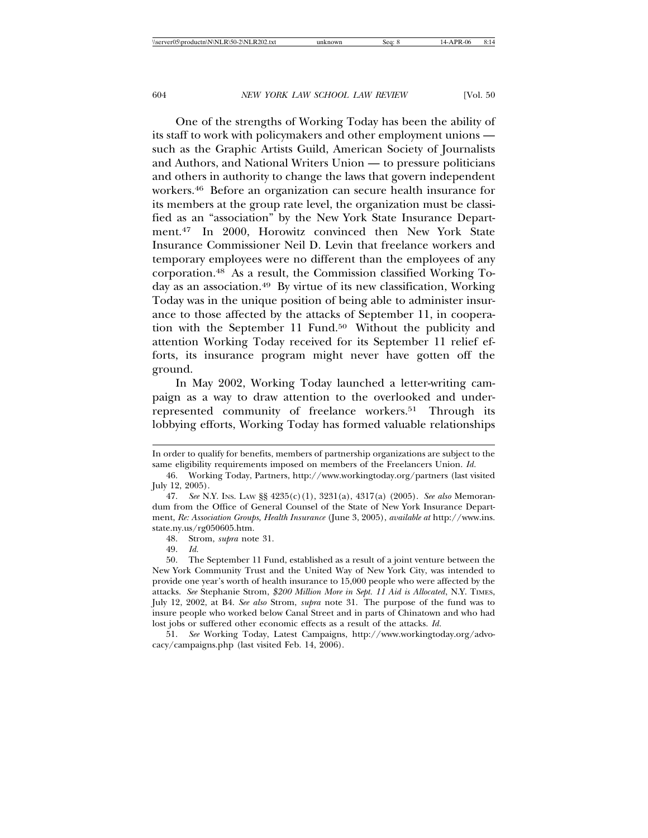One of the strengths of Working Today has been the ability of its staff to work with policymakers and other employment unions such as the Graphic Artists Guild, American Society of Journalists and Authors, and National Writers Union — to pressure politicians and others in authority to change the laws that govern independent workers.46 Before an organization can secure health insurance for its members at the group rate level, the organization must be classified as an "association" by the New York State Insurance Department.47 In 2000, Horowitz convinced then New York State Insurance Commissioner Neil D. Levin that freelance workers and temporary employees were no different than the employees of any corporation.48 As a result, the Commission classified Working Today as an association.49 By virtue of its new classification, Working Today was in the unique position of being able to administer insurance to those affected by the attacks of September 11, in cooperation with the September 11 Fund.<sup>50</sup> Without the publicity and attention Working Today received for its September 11 relief efforts, its insurance program might never have gotten off the ground.

In May 2002, Working Today launched a letter-writing campaign as a way to draw attention to the overlooked and underrepresented community of freelance workers.<sup>51</sup> Through its lobbying efforts, Working Today has formed valuable relationships

49. *Id.* 

50. The September 11 Fund, established as a result of a joint venture between the New York Community Trust and the United Way of New York City, was intended to provide one year's worth of health insurance to 15,000 people who were affected by the attacks. *See* Stephanie Strom, *\$200 Million More in Sept. 11 Aid is Allocated*, N.Y. TIMES, July 12, 2002, at B4. *See also* Strom, *supra* note 31. The purpose of the fund was to insure people who worked below Canal Street and in parts of Chinatown and who had lost jobs or suffered other economic effects as a result of the attacks. *Id.*

51. *See* Working Today, Latest Campaigns, http://www.workingtoday.org/advocacy/campaigns.php (last visited Feb. 14, 2006).

In order to qualify for benefits, members of partnership organizations are subject to the same eligibility requirements imposed on members of the Freelancers Union. *Id.*

<sup>46.</sup> Working Today, Partners, http://www.workingtoday.org/partners (last visited July 12, 2005).

<sup>47.</sup> *See* N.Y. INS. LAW §§ 4235(c)(1), 3231(a), 4317(a) (2005). *See also* Memorandum from the Office of General Counsel of the State of New York Insurance Department, *Re: Association Groups, Health Insurance* (June 3, 2005), *available at* http://www.ins. state.ny.us/rg050605.htm.

<sup>48.</sup> Strom, *supra* note 31.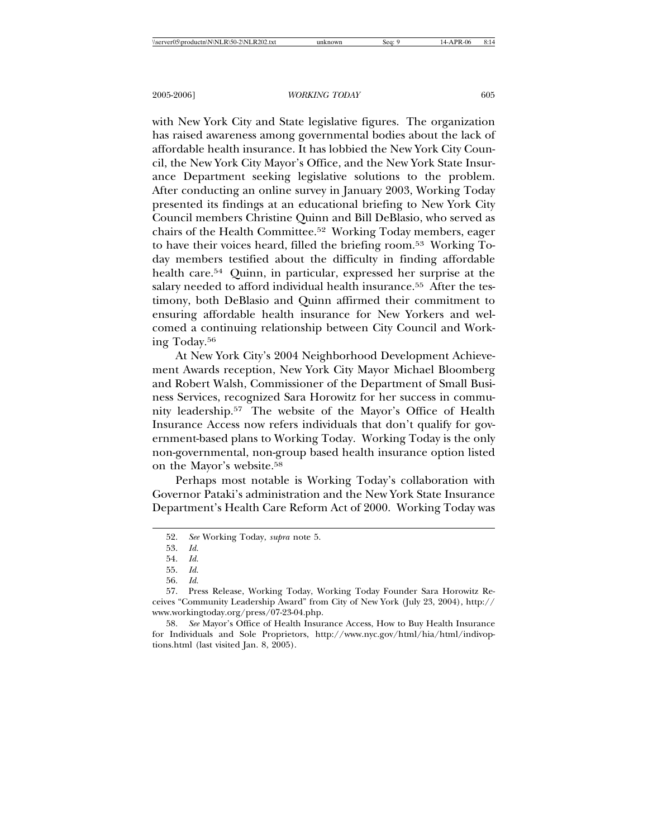with New York City and State legislative figures. The organization has raised awareness among governmental bodies about the lack of affordable health insurance. It has lobbied the New York City Council, the New York City Mayor's Office, and the New York State Insurance Department seeking legislative solutions to the problem. After conducting an online survey in January 2003, Working Today presented its findings at an educational briefing to New York City Council members Christine Quinn and Bill DeBlasio, who served as chairs of the Health Committee.52 Working Today members, eager to have their voices heard, filled the briefing room.53 Working Today members testified about the difficulty in finding affordable health care.54 Quinn, in particular, expressed her surprise at the salary needed to afford individual health insurance.<sup>55</sup> After the testimony, both DeBlasio and Quinn affirmed their commitment to ensuring affordable health insurance for New Yorkers and welcomed a continuing relationship between City Council and Working Today.56

At New York City's 2004 Neighborhood Development Achievement Awards reception, New York City Mayor Michael Bloomberg and Robert Walsh, Commissioner of the Department of Small Business Services, recognized Sara Horowitz for her success in community leadership.57 The website of the Mayor's Office of Health Insurance Access now refers individuals that don't qualify for government-based plans to Working Today. Working Today is the only non-governmental, non-group based health insurance option listed on the Mayor's website.58

Perhaps most notable is Working Today's collaboration with Governor Pataki's administration and the New York State Insurance Department's Health Care Reform Act of 2000. Working Today was

<sup>52.</sup> *See* Working Today, *supra* note 5.

<sup>53.</sup> *Id.*

<sup>54.</sup> *Id.*

<sup>55.</sup> *Id.*

<sup>56.</sup> *Id.*

<sup>57.</sup> Press Release, Working Today, Working Today Founder Sara Horowitz Receives "Community Leadership Award" from City of New York (July 23, 2004), http:// www.workingtoday.org/press/07-23-04.php.

<sup>58.</sup> *See* Mayor's Office of Health Insurance Access, How to Buy Health Insurance for Individuals and Sole Proprietors, http://www.nyc.gov/html/hia/html/indivoptions.html (last visited Jan. 8, 2005).